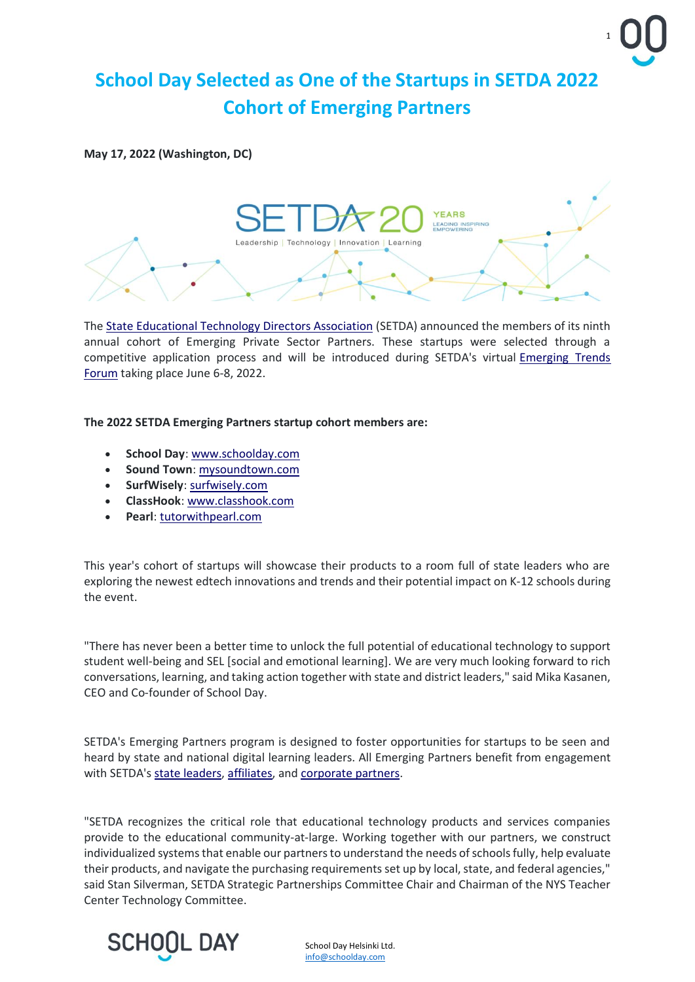

## **School Day Selected as One of the Startups in SETDA 2022 Cohort of Emerging Partners**

**May 17, 2022 (Washington, DC)**



The [State Educational Technology Directors Association](https://setda.us1.list-manage.com/track/click?u=1f18c643d052d9f509a7060f4&id=79ae7aa83f&e=1cd47351ab) (SETDA) announced the members of its ninth annual cohort of Emerging Private Sector Partners. These startups were selected through a competitive application process and will be introduced during SETDA's virtual [Emerging Trends](https://setda.us1.list-manage.com/track/click?u=1f18c643d052d9f509a7060f4&id=b7844c90b3&e=1cd47351ab)  [Forum](https://setda.us1.list-manage.com/track/click?u=1f18c643d052d9f509a7060f4&id=b7844c90b3&e=1cd47351ab) taking place June 6-8, 2022.

**The 2022 SETDA Emerging Partners startup cohort members are:**

- **School Day**: [www.schoolday.com](https://setda.us1.list-manage.com/track/click?u=1f18c643d052d9f509a7060f4&id=c3439ebb42&e=1cd47351ab)
- **Sound Town**: [mysoundtown.com](https://setda.us1.list-manage.com/track/click?u=1f18c643d052d9f509a7060f4&id=4cc5b2f6f3&e=1cd47351ab)
- **SurfWisely**: [surfwisely.com](https://setda.us1.list-manage.com/track/click?u=1f18c643d052d9f509a7060f4&id=ab5f6cff87&e=1cd47351ab)
- **ClassHook**: [www.classhook.com](https://setda.us1.list-manage.com/track/click?u=1f18c643d052d9f509a7060f4&id=397d75468a&e=1cd47351ab)
- **Pearl**: [tutorwithpearl.com](https://setda.us1.list-manage.com/track/click?u=1f18c643d052d9f509a7060f4&id=ab6284dbed&e=1cd47351ab)

This year's cohort of startups will showcase their products to a room full of state leaders who are exploring the newest edtech innovations and trends and their potential impact on K-12 schools during the event.

"There has never been a better time to unlock the full potential of educational technology to support student well-being and SEL [social and emotional learning]. We are very much looking forward to rich conversations, learning, and taking action together with state and district leaders," said Mika Kasanen, CEO and Co-founder of School Day.

SETDA's Emerging Partners program is designed to foster opportunities for startups to be seen and heard by state and national digital learning leaders. All Emerging Partners benefit from engagement with SETDA's [state leaders,](https://setda.us1.list-manage.com/track/click?u=1f18c643d052d9f509a7060f4&id=212415cc28&e=1cd47351ab) [affiliates,](https://setda.us1.list-manage.com/track/click?u=1f18c643d052d9f509a7060f4&id=8deabd1799&e=1cd47351ab) and [corporate partners.](https://setda.us1.list-manage.com/track/click?u=1f18c643d052d9f509a7060f4&id=be002b909c&e=1cd47351ab)

"SETDA recognizes the critical role that educational technology products and services companies provide to the educational community-at-large. Working together with our partners, we construct individualized systems that enable our partners to understand the needs of schools fully, help evaluate their products, and navigate the purchasing requirements set up by local, state, and federal agencies," said Stan Silverman, SETDA Strategic Partnerships Committee Chair and Chairman of the NYS Teacher Center Technology Committee.



School Day Helsinki Ltd. [info@schoolday.com](mailto:info@schoolday.com)